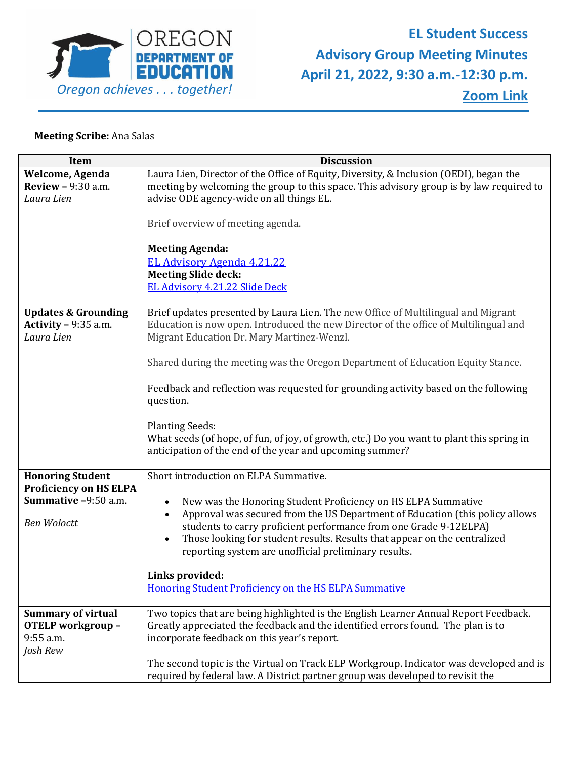

## **Meeting Scribe:** Ana Salas

| <b>Item</b>                    | <b>Discussion</b>                                                                         |
|--------------------------------|-------------------------------------------------------------------------------------------|
| Welcome, Agenda                | Laura Lien, Director of the Office of Equity, Diversity, & Inclusion (OEDI), began the    |
| <b>Review - 9:30 a.m.</b>      | meeting by welcoming the group to this space. This advisory group is by law required to   |
| Laura Lien                     | advise ODE agency-wide on all things EL.                                                  |
|                                |                                                                                           |
|                                | Brief overview of meeting agenda.                                                         |
|                                |                                                                                           |
|                                | <b>Meeting Agenda:</b>                                                                    |
|                                | <b>EL Advisory Agenda 4.21.22</b>                                                         |
|                                | <b>Meeting Slide deck:</b>                                                                |
|                                | EL Advisory 4.21.22 Slide Deck                                                            |
|                                |                                                                                           |
| <b>Updates &amp; Grounding</b> | Brief updates presented by Laura Lien. The new Office of Multilingual and Migrant         |
| Activity $-9:35$ a.m.          | Education is now open. Introduced the new Director of the office of Multilingual and      |
| Laura Lien                     | Migrant Education Dr. Mary Martinez-Wenzl.                                                |
|                                |                                                                                           |
|                                | Shared during the meeting was the Oregon Department of Education Equity Stance.           |
|                                |                                                                                           |
|                                | Feedback and reflection was requested for grounding activity based on the following       |
|                                | question.                                                                                 |
|                                |                                                                                           |
|                                | <b>Planting Seeds:</b>                                                                    |
|                                | What seeds (of hope, of fun, of joy, of growth, etc.) Do you want to plant this spring in |
|                                | anticipation of the end of the year and upcoming summer?                                  |
| <b>Honoring Student</b>        | Short introduction on ELPA Summative.                                                     |
| <b>Proficiency on HS ELPA</b>  |                                                                                           |
| Summative -9:50 a.m.           | New was the Honoring Student Proficiency on HS ELPA Summative                             |
|                                | Approval was secured from the US Department of Education (this policy allows              |
| <b>Ben Woloctt</b>             | students to carry proficient performance from one Grade 9-12ELPA)                         |
|                                | Those looking for student results. Results that appear on the centralized                 |
|                                | reporting system are unofficial preliminary results.                                      |
|                                |                                                                                           |
|                                | Links provided:                                                                           |
|                                | Honoring Student Proficiency on the HS ELPA Summative                                     |
|                                |                                                                                           |
| <b>Summary of virtual</b>      | Two topics that are being highlighted is the English Learner Annual Report Feedback.      |
| OTELP workgroup -              | Greatly appreciated the feedback and the identified errors found. The plan is to          |
| 9:55 a.m.                      | incorporate feedback on this year's report.                                               |
| Josh Rew                       |                                                                                           |
|                                | The second topic is the Virtual on Track ELP Workgroup. Indicator was developed and is    |
|                                | required by federal law. A District partner group was developed to revisit the            |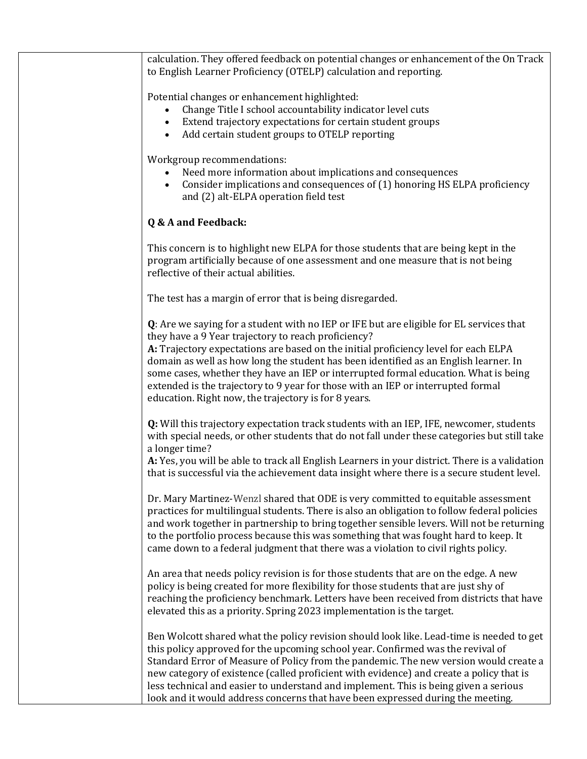calculation. They offered feedback on potential changes or enhancement of the On Track to English Learner Proficiency (OTELP) calculation and reporting.

Potential changes or enhancement highlighted:

- Change Title I school accountability indicator level cuts
- Extend trajectory expectations for certain student groups
- Add certain student groups to OTELP reporting

Workgroup recommendations:

- Need more information about implications and consequences
- Consider implications and consequences of (1) honoring HS ELPA proficiency and (2) alt-ELPA operation field test

## **Q & A and Feedback:**

This concern is to highlight new ELPA for those students that are being kept in the program artificially because of one assessment and one measure that is not being reflective of their actual abilities.

The test has a margin of error that is being disregarded.

**Q**: Are we saying for a student with no IEP or IFE but are eligible for EL services that they have a 9 Year trajectory to reach proficiency?

**A:** Trajectory expectations are based on the initial proficiency level for each ELPA domain as well as how long the student has been identified as an English learner. In some cases, whether they have an IEP or interrupted formal education. What is being extended is the trajectory to 9 year for those with an IEP or interrupted formal education. Right now, the trajectory is for 8 years.

**Q:** Will this trajectory expectation track students with an IEP, IFE, newcomer, students with special needs, or other students that do not fall under these categories but still take a longer time?

**A:** Yes, you will be able to track all English Learners in your district. There is a validation that is successful via the achievement data insight where there is a secure student level.

Dr. Mary Martinez-Wenzl shared that ODE is very committed to equitable assessment practices for multilingual students. There is also an obligation to follow federal policies and work together in partnership to bring together sensible levers. Will not be returning to the portfolio process because this was something that was fought hard to keep. It came down to a federal judgment that there was a violation to civil rights policy.

An area that needs policy revision is for those students that are on the edge. A new policy is being created for more flexibility for those students that are just shy of reaching the proficiency benchmark. Letters have been received from districts that have elevated this as a priority. Spring 2023 implementation is the target.

Ben Wolcott shared what the policy revision should look like. Lead-time is needed to get this policy approved for the upcoming school year. Confirmed was the revival of Standard Error of Measure of Policy from the pandemic. The new version would create a new category of existence (called proficient with evidence) and create a policy that is less technical and easier to understand and implement. This is being given a serious look and it would address concerns that have been expressed during the meeting.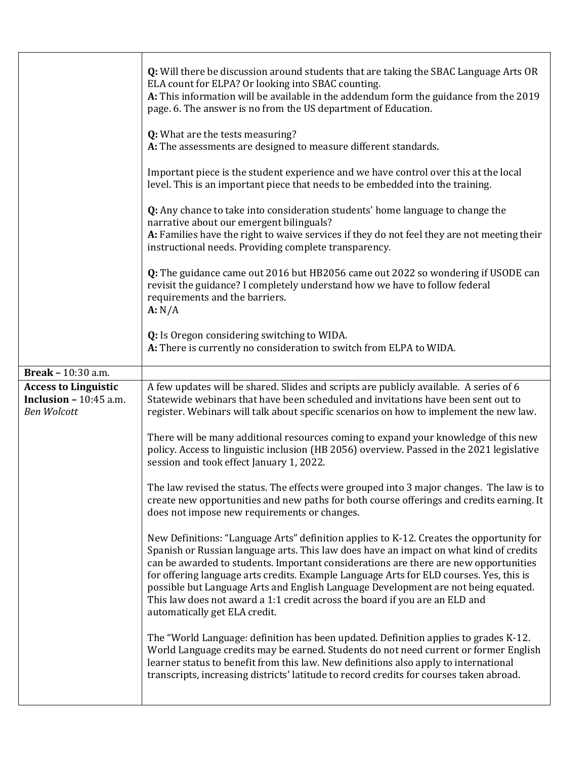|                                                              | <b>Q:</b> Will there be discussion around students that are taking the SBAC Language Arts OR<br>ELA count for ELPA? Or looking into SBAC counting.<br>A: This information will be available in the addendum form the guidance from the 2019<br>page. 6. The answer is no from the US department of Education.                                                   |
|--------------------------------------------------------------|-----------------------------------------------------------------------------------------------------------------------------------------------------------------------------------------------------------------------------------------------------------------------------------------------------------------------------------------------------------------|
|                                                              | Q: What are the tests measuring?<br>A: The assessments are designed to measure different standards.                                                                                                                                                                                                                                                             |
|                                                              | Important piece is the student experience and we have control over this at the local<br>level. This is an important piece that needs to be embedded into the training.                                                                                                                                                                                          |
|                                                              | Q: Any chance to take into consideration students' home language to change the<br>narrative about our emergent bilinguals?<br>A: Families have the right to waive services if they do not feel they are not meeting their                                                                                                                                       |
|                                                              | instructional needs. Providing complete transparency.                                                                                                                                                                                                                                                                                                           |
|                                                              | Q: The guidance came out 2016 but HB2056 came out 2022 so wondering if USODE can<br>revisit the guidance? I completely understand how we have to follow federal<br>requirements and the barriers.<br>A: N/A                                                                                                                                                     |
|                                                              | Q: Is Oregon considering switching to WIDA.<br>A: There is currently no consideration to switch from ELPA to WIDA.                                                                                                                                                                                                                                              |
| <b>Break - 10:30 a.m.</b>                                    |                                                                                                                                                                                                                                                                                                                                                                 |
| <b>Access to Linguistic</b><br><b>Inclusion - 10:45 a.m.</b> | A few updates will be shared. Slides and scripts are publicly available. A series of 6                                                                                                                                                                                                                                                                          |
|                                                              | Statewide webinars that have been scheduled and invitations have been sent out to                                                                                                                                                                                                                                                                               |
| <b>Ben Wolcott</b>                                           | register. Webinars will talk about specific scenarios on how to implement the new law.<br>There will be many additional resources coming to expand your knowledge of this new                                                                                                                                                                                   |
|                                                              | policy. Access to linguistic inclusion (HB 2056) overview. Passed in the 2021 legislative<br>session and took effect January 1, 2022.                                                                                                                                                                                                                           |
|                                                              | The law revised the status. The effects were grouped into 3 major changes. The law is to<br>create new opportunities and new paths for both course offerings and credits earning. It<br>does not impose new requirements or changes.                                                                                                                            |
|                                                              | New Definitions: "Language Arts" definition applies to K-12. Creates the opportunity for<br>Spanish or Russian language arts. This law does have an impact on what kind of credits<br>can be awarded to students. Important considerations are there are new opportunities                                                                                      |
|                                                              | for offering language arts credits. Example Language Arts for ELD courses. Yes, this is<br>possible but Language Arts and English Language Development are not being equated.<br>This law does not award a 1:1 credit across the board if you are an ELD and<br>automatically get ELA credit.                                                                   |
|                                                              | The "World Language: definition has been updated. Definition applies to grades K-12.<br>World Language credits may be earned. Students do not need current or former English<br>learner status to benefit from this law. New definitions also apply to international<br>transcripts, increasing districts' latitude to record credits for courses taken abroad. |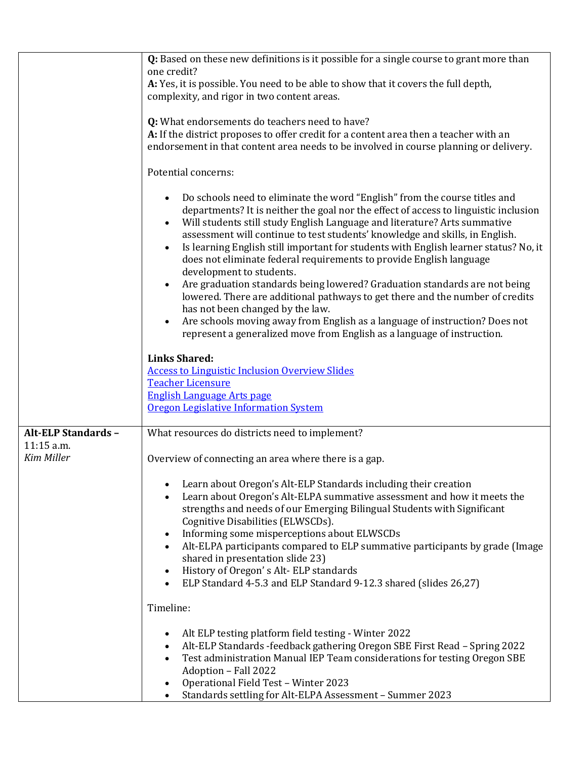|                                          | Q: Based on these new definitions is it possible for a single course to grant more than<br>one credit?                                                                                                                                                                                                                                                                                                                  |
|------------------------------------------|-------------------------------------------------------------------------------------------------------------------------------------------------------------------------------------------------------------------------------------------------------------------------------------------------------------------------------------------------------------------------------------------------------------------------|
|                                          | A: Yes, it is possible. You need to be able to show that it covers the full depth,                                                                                                                                                                                                                                                                                                                                      |
|                                          | complexity, and rigor in two content areas.                                                                                                                                                                                                                                                                                                                                                                             |
|                                          | Q: What endorsements do teachers need to have?                                                                                                                                                                                                                                                                                                                                                                          |
|                                          | A: If the district proposes to offer credit for a content area then a teacher with an                                                                                                                                                                                                                                                                                                                                   |
|                                          | endorsement in that content area needs to be involved in course planning or delivery.                                                                                                                                                                                                                                                                                                                                   |
|                                          | Potential concerns:                                                                                                                                                                                                                                                                                                                                                                                                     |
|                                          | Do schools need to eliminate the word "English" from the course titles and<br>departments? It is neither the goal nor the effect of access to linguistic inclusion<br>Will students still study English Language and literature? Arts summative<br>assessment will continue to test students' knowledge and skills, in English.<br>Is learning English still important for students with English learner status? No, it |
|                                          | does not eliminate federal requirements to provide English language                                                                                                                                                                                                                                                                                                                                                     |
|                                          | development to students.                                                                                                                                                                                                                                                                                                                                                                                                |
|                                          | Are graduation standards being lowered? Graduation standards are not being<br>lowered. There are additional pathways to get there and the number of credits<br>has not been changed by the law.                                                                                                                                                                                                                         |
|                                          | Are schools moving away from English as a language of instruction? Does not                                                                                                                                                                                                                                                                                                                                             |
|                                          | represent a generalized move from English as a language of instruction.                                                                                                                                                                                                                                                                                                                                                 |
|                                          | <b>Links Shared:</b>                                                                                                                                                                                                                                                                                                                                                                                                    |
|                                          | <b>Access to Linguistic Inclusion Overview Slides</b>                                                                                                                                                                                                                                                                                                                                                                   |
|                                          | Teacher Licensure                                                                                                                                                                                                                                                                                                                                                                                                       |
|                                          | <b>English Language Arts page</b>                                                                                                                                                                                                                                                                                                                                                                                       |
|                                          | Oregon Legislative Information System                                                                                                                                                                                                                                                                                                                                                                                   |
| <b>Alt-ELP Standards -</b><br>11:15 a.m. | What resources do districts need to implement?                                                                                                                                                                                                                                                                                                                                                                          |
| <b>Kim Miller</b>                        | Overview of connecting an area where there is a gap.                                                                                                                                                                                                                                                                                                                                                                    |
|                                          |                                                                                                                                                                                                                                                                                                                                                                                                                         |
|                                          | Learn about Oregon's Alt-ELP Standards including their creation                                                                                                                                                                                                                                                                                                                                                         |
|                                          | Learn about Oregon's Alt-ELPA summative assessment and how it meets the                                                                                                                                                                                                                                                                                                                                                 |
|                                          | strengths and needs of our Emerging Bilingual Students with Significant<br>Cognitive Disabilities (ELWSCDs).                                                                                                                                                                                                                                                                                                            |
|                                          | Informing some misperceptions about ELWSCDs                                                                                                                                                                                                                                                                                                                                                                             |
|                                          | Alt-ELPA participants compared to ELP summative participants by grade (Image                                                                                                                                                                                                                                                                                                                                            |
|                                          | shared in presentation slide 23)                                                                                                                                                                                                                                                                                                                                                                                        |
|                                          | History of Oregon's Alt-ELP standards                                                                                                                                                                                                                                                                                                                                                                                   |
|                                          | ELP Standard 4-5.3 and ELP Standard 9-12.3 shared (slides 26,27)                                                                                                                                                                                                                                                                                                                                                        |
|                                          | Timeline:                                                                                                                                                                                                                                                                                                                                                                                                               |
|                                          | Alt ELP testing platform field testing - Winter 2022                                                                                                                                                                                                                                                                                                                                                                    |
|                                          | Alt-ELP Standards -feedback gathering Oregon SBE First Read - Spring 2022                                                                                                                                                                                                                                                                                                                                               |
|                                          | Test administration Manual IEP Team considerations for testing Oregon SBE                                                                                                                                                                                                                                                                                                                                               |
|                                          | Adoption - Fall 2022                                                                                                                                                                                                                                                                                                                                                                                                    |
|                                          | Operational Field Test - Winter 2023<br>Standards settling for Alt-ELPA Assessment - Summer 2023                                                                                                                                                                                                                                                                                                                        |
|                                          |                                                                                                                                                                                                                                                                                                                                                                                                                         |